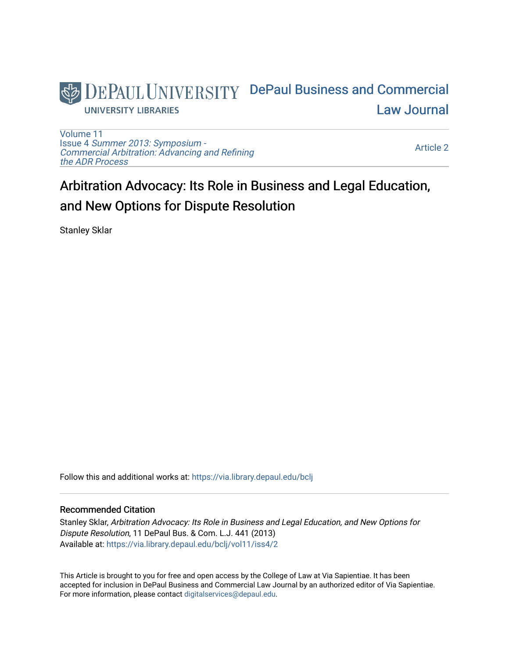

[Volume 11](https://via.library.depaul.edu/bclj/vol11) Issue 4 [Summer 2013: Symposium -](https://via.library.depaul.edu/bclj/vol11/iss4)  [Commercial Arbitration: Advancing and Refining](https://via.library.depaul.edu/bclj/vol11/iss4)  [the ADR Process](https://via.library.depaul.edu/bclj/vol11/iss4) 

[Article 2](https://via.library.depaul.edu/bclj/vol11/iss4/2) 

# Arbitration Advocacy: Its Role in Business and Legal Education, and New Options for Dispute Resolution

Stanley Sklar

Follow this and additional works at: [https://via.library.depaul.edu/bclj](https://via.library.depaul.edu/bclj?utm_source=via.library.depaul.edu%2Fbclj%2Fvol11%2Fiss4%2F2&utm_medium=PDF&utm_campaign=PDFCoverPages) 

## Recommended Citation

Stanley Sklar, Arbitration Advocacy: Its Role in Business and Legal Education, and New Options for Dispute Resolution, 11 DePaul Bus. & Com. L.J. 441 (2013) Available at: [https://via.library.depaul.edu/bclj/vol11/iss4/2](https://via.library.depaul.edu/bclj/vol11/iss4/2?utm_source=via.library.depaul.edu%2Fbclj%2Fvol11%2Fiss4%2F2&utm_medium=PDF&utm_campaign=PDFCoverPages) 

This Article is brought to you for free and open access by the College of Law at Via Sapientiae. It has been accepted for inclusion in DePaul Business and Commercial Law Journal by an authorized editor of Via Sapientiae. For more information, please contact [digitalservices@depaul.edu.](mailto:digitalservices@depaul.edu)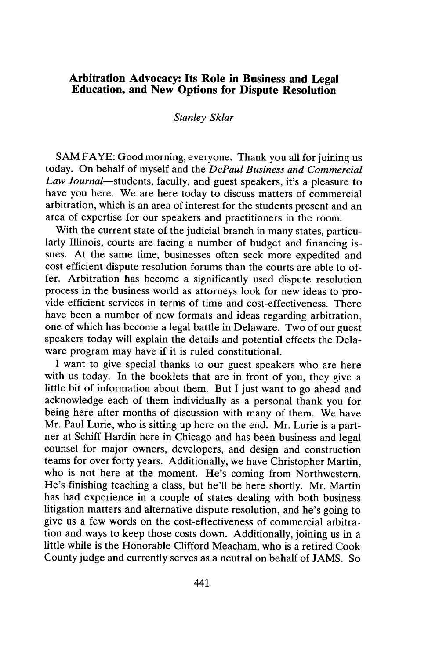# **Arbitration Advocacy: Its Role in Business and Legal Education, and New Options for Dispute Resolution**

#### *Stanley Sklar*

**SAM** FAYE: Good morning, everyone. Thank you all for joining us today. On behalf of myself and the *DePaul Business and Commercial Law Journal-students,* faculty, and guest speakers, it's a pleasure to have you here. We are here today to discuss matters of commercial arbitration, which is an area of interest for the students present and an area of expertise for our speakers and practitioners in the room.

With the current state of the judicial branch in many states, particularly Illinois, courts are facing a number of budget and financing issues. At the same time, businesses often seek more expedited and cost efficient dispute resolution forums than the courts are able to offer. Arbitration has become a significantly used dispute resolution process in the business world as attorneys look for new ideas to provide efficient services in terms of time and cost-effectiveness. There have been a number of new formats and ideas regarding arbitration, one of which has become a legal battle in Delaware. Two of our guest speakers today will explain the details and potential effects the Delaware program may have if it is ruled constitutional.

**I** want to give special thanks to our guest speakers who are here with us today. In the booklets that are in front of you, they give a little bit of information about them. But **I** just want to go ahead and acknowledge each of them individually as a personal thank you for being here after months of discussion with many of them. We have Mr. Paul Lurie, who is sitting up here on the end. Mr. Lurie is a partner at Schiff Hardin here in Chicago and has been business and legal counsel for major owners, developers, and design and construction teams for over forty years. Additionally, we have Christopher Martin, who is not here at the moment. He's coming from Northwestern. He's finishing teaching a class, but he'll be here shortly. Mr. Martin has had experience in a couple of states dealing with both business litigation matters and alternative dispute resolution, and he's going to give us a few words on the cost-effectiveness of commercial arbitration and ways to keep those costs down. Additionally, joining us in a little while is the Honorable Clifford Meacham, who is a retired Cook County judge and currently serves as a neutral on behalf of **JAMS.** So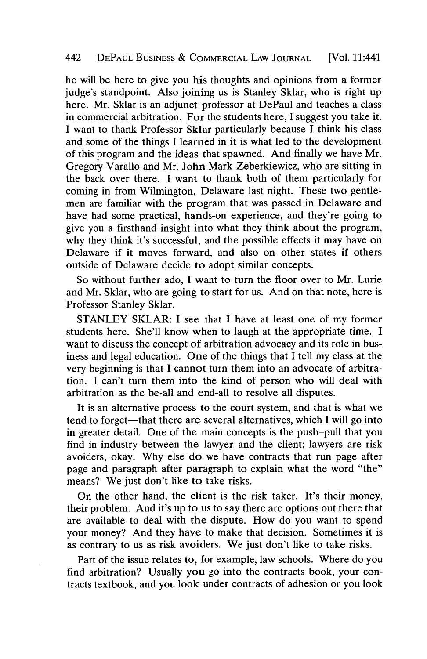## 442 **DEPAUL BUSINESS & COMMERCIAL LAw JOURNAL** [Vol. 11:441

he will be here to give you his thoughts and opinions from a former judge's standpoint. Also joining us is Stanley Sklar, who is right up here. Mr. Sklar is an adjunct professor at DePaul and teaches a class in commercial arbitration. For the students here, **I** suggest you take it. I want to thank Professor Sklar particularly because **I** think his class and some of the things **I** learned in it is what led to the development of this program and the ideas that spawned. And finally we have Mr. Gregory Varallo and Mr. John Mark Zeberkiewicz, who are sitting in the back over there. **I** want to thank both of them particularly for coming in from Wilmington, Delaware last night. These two gentlemen are familiar with the program that was passed in Delaware and have had some practical, hands-on experience, and they're going to give you a firsthand insight into what they think about the program, why they think it's successful, and the possible effects it may have on Delaware if it moves forward, and also on other states if others outside of Delaware decide to adopt similar concepts.

So without further ado, **I** want to turn the floor over to Mr. Lurie and Mr. Sklar, who are going to start for us. And on that note, here is Professor Stanley Sklar.

**STANLEY** SKLAR: I see that **I** have at least one of my former students here. She'll know when to laugh at the appropriate time. **I** want to discuss the concept of arbitration advocacy and its role in business and legal education. One of the things that **I** tell my class at the very beginning is that **I** cannot turn them into an advocate of arbitration. **I** can't turn them into the kind of person who will deal with arbitration as the be-all and end-all to resolve all disputes.

It is an alternative process to the court system, and that is what we tend to forget-that there are several alternatives, which **I** will go into in greater detail. One of the main concepts is the push-pull that you find in industry between the lawyer and the client; lawyers are risk avoiders, okay. **Why** else do we have contracts that run page after page and paragraph after paragraph to explain what the word "the" means? We just don't like to take risks.

On the other hand, the client is the risk taker. It's their money, their problem. And it's up to us to say there are options out there that are available to deal with the dispute. How do you want to spend your money? And they have to make that decision. Sometimes it is as contrary to us as risk avoiders. We just don't like to take risks.

Part of the issue relates to, for example, law schools. Where do you find arbitration? Usually you go into the contracts book, your contracts textbook, and you look under contracts of adhesion or you look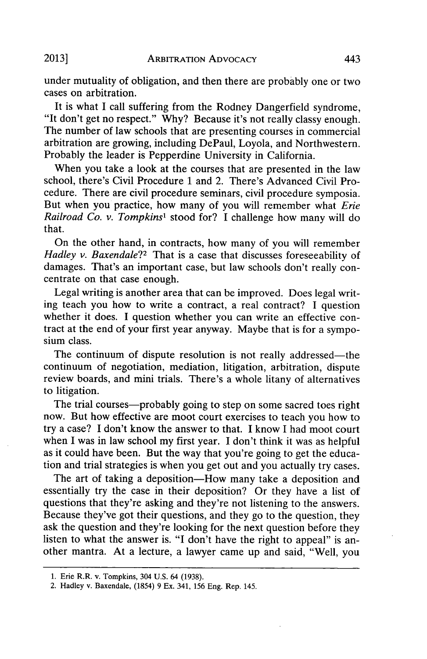**ARBITRATION ADVOCACY 2013]** 443

under mutuality of obligation, and then there are probably one or two cases on arbitration.

It is what **I** call suffering from the Rodney Dangerfield syndrome, "It don't get no respect." **Why?** Because it's not really classy enough. The number of law schools that are presenting courses in commercial arbitration are growing, including DePaul, Loyola, and Northwestern. Probably the leader is Pepperdine University in California.

When you take a look at the courses that are presented in the law school, there's Civil Procedure **1** and 2. There's Advanced Civil Procedure. There are civil procedure seminars, civil procedure symposia. But when you practice, how many of you will remember what *Erie Railroad Co. v. Tompkins'* stood for? I challenge how many will **do** that.

On the other hand, in contracts, how many of you will remember *Hadley v. Baxendale?2* That is a case that discusses foreseeability of damages. That's an important case, but law schools don't really concentrate on that case enough.

Legal writing is another area that can be improved. Does legal writing teach you how to write a contract, a real contract? **I** question whether it does. I question whether you can write an effective contract at the end of your first year anyway. Maybe that is for a symposium class.

The continuum of dispute resolution is not really addressed—the continuum of negotiation, mediation, litigation, arbitration, dispute review boards, and mini trials. There's a whole litany of alternatives to litigation.

The trial courses—probably going to step on some sacred toes right now. But how effective are moot court exercises to teach you how to try a case? I don't know the answer to that. **I** know **I** had moot court when **I** was in law school my first year. **I** don't think it was as helpful as it could have been. But the way that you're going to get the education and trial strategies is when you get out and you actually try cases.

The art of taking a deposition-How many take a deposition and essentially try the case in their deposition? Or they have a list of questions that they're asking and they're not listening to the answers. Because they've got their questions, and they go to the question, they ask the question and they're looking for the next question before they listen to what the answer is. **"I** don't have the right to appeal" is another mantra. At a lecture, a lawyer came up and said, "Well, you

**<sup>1.</sup> Erie R.R. v. Tompkins, 304 U.S.** 64 **(1938).**

**<sup>2.</sup> Hadley v. Baxendale, (1854) 9 Ex. 341, 156 Eng. Rep. 145.**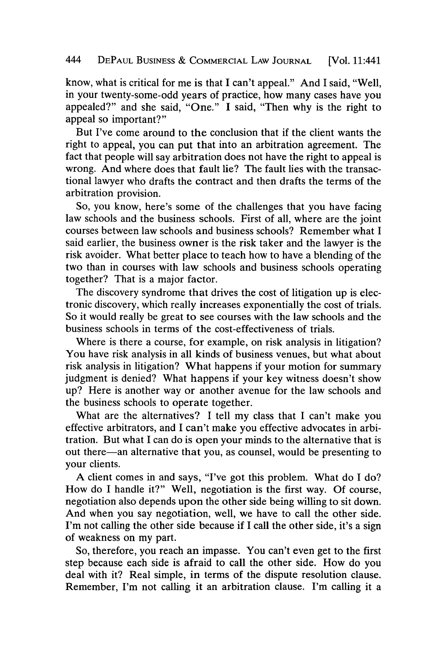know, what is critical for me is that **I** can't appeal." And I said, "Well, in your twenty-some-odd years of practice, how many cases have you appealed?" and she said, "One." **I** said, "Then why is the right to appeal so important?"

But I've come around to the conclusion that if the client wants the right to appeal, you can put that into an arbitration agreement. The fact that people will say arbitration does not have the right to appeal is wrong. And where does that fault lie? The fault lies with the transactional lawyer who drafts the contract and then drafts the terms of the arbitration provision.

So, you know, here's some of the challenges that you have facing law schools and the business schools. First of all, where are the joint courses between law schools and business schools? Remember what **I** said earlier, the business owner is the risk taker and the lawyer is the risk avoider. What better place to teach how to have a blending of the two than in courses with law schools and business schools operating together? That is a major factor.

The discovery syndrome that drives the cost of litigation up is electronic discovery, which really increases exponentially the cost of trials. So it would really be great to see courses with the law schools and the business schools in terms of the cost-effectiveness of trials.

Where is there a course, for example, on risk analysis in litigation? You have risk analysis in all kinds of business venues, but what about risk analysis in litigation? What happens if your motion for summary judgment is denied? What happens if your key witness doesn't show up? Here is another way or another avenue for the law schools and the business schools to operate together.

What are the alternatives? I tell my class that **I** can't make you effective arbitrators, and I can't make you effective advocates in arbitration. But what I can do is open your minds to the alternative that is out there-an alternative that you, as counsel, would be presenting to your clients.

**A** client comes in and says, "I've got this problem. What do **I** do? How do **I** handle it?" Well, negotiation is the first way. **Of** course, negotiation also depends upon the other side being willing to sit down. And when you say negotiation, well, we have to call the other side. I'm not calling the other side because if **I** call the other side, it's a sign of weakness on my part.

So, therefore, you reach an impasse. You can't even get to the first step because each side is afraid to call the other side. How do you deal with it? Real simple, in terms of the dispute resolution clause. Remember, I'm not calling it an arbitration clause. I'm calling it a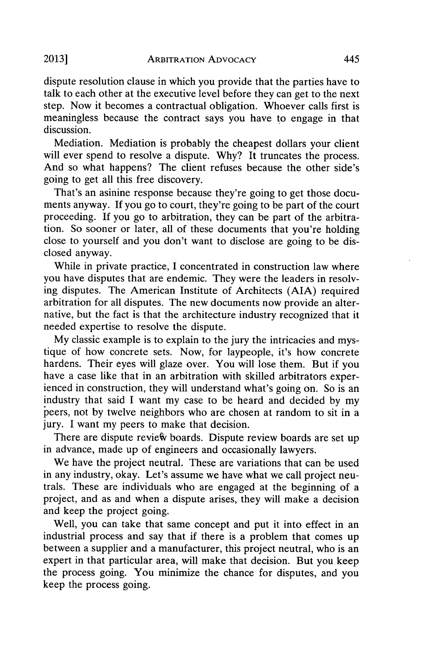dispute resolution clause in which you provide that the parties have to talk to each other at the executive level before they can get to the next step. Now it becomes a contractual obligation. Whoever calls first is

meaningless because the contract says you have to engage in that discussion.

Mediation. Mediation is probably the cheapest dollars your client will ever spend to resolve a dispute. **Why?** It truncates the process. And so what happens? The client refuses because the other side's going to get all this free discovery.

That's an asinine response because they're going to get those documents anyway. **If** you go to court, they're going to be part of the court proceeding. **If** you go to arbitration, they can be part of the arbitration. So sooner or later, all of these documents that you're holding close to yourself and you don't want to disclose are going to be disclosed anyway.

While in private practice, I concentrated in construction law where you have disputes that are endemic. They were the leaders in resolving disputes. The American Institute of Architects **(AIA)** required arbitration for all disputes. The new documents now provide an alternative, but the fact is that the architecture industry recognized that it needed expertise to resolve the dispute.

**My** classic example is to explain to the jury the intricacies and mystique of how concrete sets. Now, for laypeople, it's how concrete hardens. Their eyes will glaze over. You will lose them. But if you have a case like that in an arbitration with skilled arbitrators experienced in construction, they will understand what's going on. So is an industry that said **I** want my case to be heard and decided **by** my peers, not **by** twelve neighbors who are chosen at random to sit in a jury. **I** want my peers to make that decision.

There are dispute review boards. Dispute review boards are set up in advance, made up of engineers and occasionally lawyers.

We have the project neutral. These are variations that can be used in any industry, okay. Let's assume we have what we call project neutrals. These are individuals who are engaged at the beginning of a project, and as and when a dispute arises, they will make a decision and keep the project going.

Well, you can take that same concept and put it into effect in an industrial process and say that if there is a problem that comes up between a supplier and a manufacturer, this project neutral, who is an expert in that particular area, will make that decision. But you keep the process going. You minimize the chance for disputes, and you keep the process going.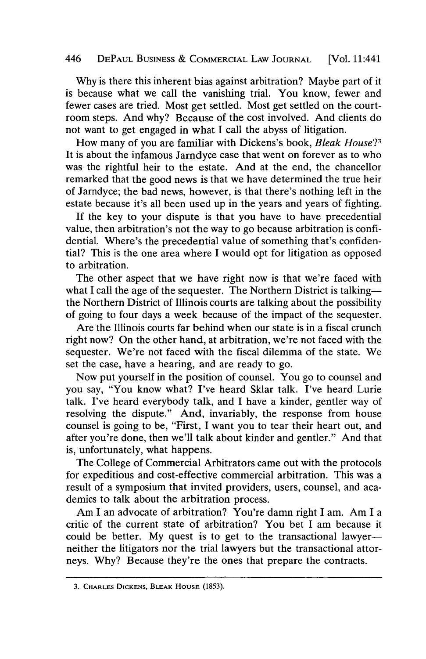# *446* **DEPAUL BUSINESS & COMMERCIAL LAW JOURNAL** [Vol. 11:441

**Why** is there this inherent bias against arbitration? Maybe part of it is because what we call the vanishing trial. You know, fewer and fewer cases are tried. Most get settled. Most get settled on the courtroom steps. And why? Because of the cost involved. And clients do not want to get engaged in what I call the abyss of litigation.

How many of you are familiar with Dickens's book, *Bleak House?3* It is about the infamous Jarndyce case that went on forever as to who was the rightful heir to the estate. And at the end, the chancellor remarked that the good news is that we have determined the true heir of Jarndyce; the bad news, however, is that there's nothing left in the estate because it's all been used up in the years and years of fighting.

**If** the key to your dispute is that you have to have precedential value, then arbitration's not the way to go because arbitration is confidential. Where's the precedential value of something that's confidential? This is the one area where **I** would opt for litigation as opposed to arbitration.

The other aspect that we have right now is that we're faced with what I call the age of the sequester. The Northern District is talking-the Northern District of Illinois courts are talking about the possibility of going to four days a week because of the impact of the sequester.

Are the Illinois courts far behind when our state is in a fiscal crunch right now? On the other hand, at arbitration, we're not faced with the sequester. We're not faced with the fiscal dilemma of the state. We set the case, have a hearing, and are ready to go.

Now put yourself in the position of counsel. You go to counsel and you say, "You know what? I've heard Sklar talk. I've heard Lurie talk. I've heard everybody talk, and **I** have a kinder, gentler way of resolving the dispute." And, invariably, the response from house counsel is going to be, "First, I want you to tear their heart out, and after you're done, then we'll talk about kinder and gentler." And that is, unfortunately, what happens.

The College of Commercial Arbitrators came out with the protocols for expeditious and cost-effective commercial arbitration. This was a result of a symposium that invited providers, users, counsel, and academics to talk about the arbitration process.

Am **I** an advocate of arbitration? You're damn right **I** am. Am I a critic of the current state of arbitration? You bet I am because it could be better. My quest is to get to the transactional lawyerneither the litigators nor the trial lawyers but the transactional attorneys. **Why?** Because they're the ones that prepare the contracts.

**<sup>3.</sup> CHARLEs DICKENS, BLEAK HOUSE (1853).**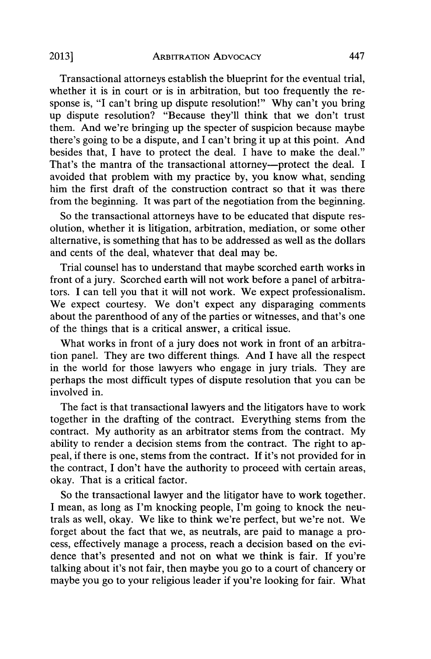Transactional attorneys establish the blueprint for the eventual trial, whether it is in court or is in arbitration, but too frequently the response is, **"I** can't bring up dispute resolution!" **Why** can't you bring up dispute resolution? "Because they'll think that we don't trust them. And we're bringing up the specter of suspicion because maybe there's going to be a dispute, and **I** can't bring it up at this point. And besides that, **I** have to protect the deal. **I** have to make the deal." That's the mantra of the transactional attorney-protect the deal. **I** avoided that problem with my practice **by,** you know what, sending him the first draft of the construction contract so that it was there from the beginning. It was part of the negotiation from the beginning.

So the transactional attorneys have to be educated that dispute resolution, whether it is litigation, arbitration, mediation, or some other alternative, is something that has to be addressed as well as the dollars and cents of the deal, whatever that deal may be.

Trial counsel has to understand that maybe scorched earth works in front of a jury. Scorched earth will not work before a panel of arbitrators. **I** can tell you that it will not work. We expect professionalism. We expect courtesy. We don't expect any disparaging comments about the parenthood of any of the parties or witnesses, and that's one of the things that is a critical answer, a critical issue.

What works in front of a jury does not work in front of an arbitration panel. They are two different things. And **I** have all the respect in the world for those lawyers who engage in jury trials. They are perhaps the most difficult types of dispute resolution that you can be involved in.

The fact is that transactional lawyers and the litigators have to work together in the drafting of the contract. Everything stems from the contract. **My** authority as an arbitrator stems from the contract. **My** ability to render a decision stems from the contract. The right to appeal, if there is one, stems from the contract. **If** it's not provided for in the contract, **I** don't have the authority to proceed with certain areas, okay. That is a critical factor.

So the transactional lawyer and the litigator have to work together. I mean, as long as I'm knocking people, I'm going to knock the neutrals as well, okay. We like to think we're perfect, but we're not. We forget about the fact that we, as neutrals, are paid to manage a process, effectively manage a process, reach a decision based on the evidence that's presented and not on what we think is fair. **If** you're talking about it's not fair, then maybe you go to a court of chancery or maybe you go to your religious leader if you're looking for fair. What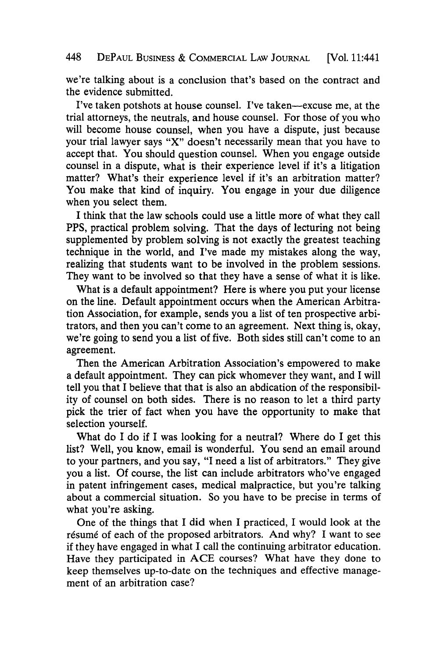we're talking about is a conclusion that's based on the contract and the evidence submitted.

I've taken potshots at house counsel. I've taken-excuse me, at the trial attorneys, the neutrals, and house counsel. For those of you who will become house counsel, when you have a dispute, just because your trial lawyer says "X" doesn't necessarily mean that you have to accept that. You should question counsel. When you engage outside counsel in a dispute, what is their experience level if it's a litigation matter? What's their experience level if it's an arbitration matter? You make that kind of inquiry. You engage in your due diligence when you select them.

I think that the law schools could use a little more of what they call PPS, practical problem solving. That the days of lecturing not being supplemented **by** problem solving is not exactly the greatest teaching technique in the world, and I've made my mistakes along the way, realizing that students want to be involved in the problem sessions. They want to be involved so that they have a sense of what it is like.

What is a default appointment? Here is where you put your license on the line. Default appointment occurs when the American Arbitration Association, for example, sends you a list of ten prospective arbitrators, and then you can't come to an agreement. Next thing is, okay, we're going to send you a list of five. Both sides still can't come to an agreement.

Then the American Arbitration Association's empowered to make a default appointment. They can pick whomever they want, and I will tell you that I believe that that is also an abdication of the responsibility of counsel on both sides. There is no reason to let a third party pick the trier of fact when you have the opportunity to make that selection yourself.

What do I do if I was looking for a neutral? Where do I get this list? Well, you know, email is wonderful. You send an email around to your partners, and you say, "I need a list of arbitrators." They give you a list. **Of** course, the list can include arbitrators who've engaged in patent infringement cases, medical malpractice, but you're talking about a commercial situation. So you have to be precise in terms of what you're asking.

One of the things that I did when I practiced, I would look at the résumé of each of the proposed arbitrators. And why? I want to see if they have engaged in what **I** call the continuing arbitrator education. Have they participated in **ACE** courses? What have they done to keep themselves up-to-date on the techniques and effective management of an arbitration case?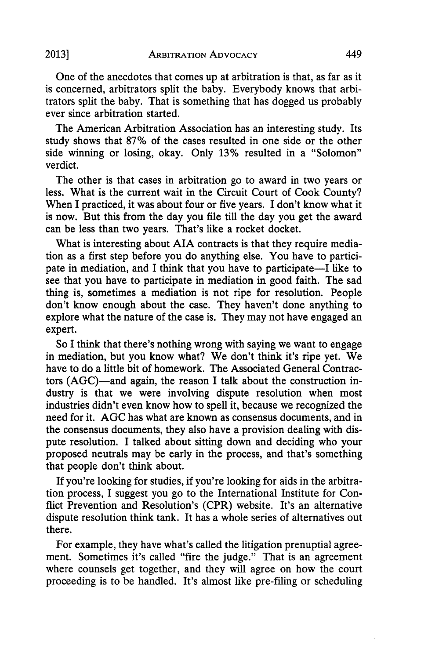One of the anecdotes that comes up at arbitration is that, as far as it is concerned, arbitrators split the baby. Everybody knows that arbitrators split the baby. That is something that has dogged us probably ever since arbitration started.

The American Arbitration Association has an interesting study. Its study shows that **87%** of the cases resulted in one side or the other side winning or losing, okay. Only **13%** resulted in a "Solomon" verdict.

The other is that cases in arbitration go to award in two years or less. What is the current wait in the Circuit Court of Cook County? When I practiced, it was about four or five years. I don't know what it is now. But this from the day you file till the day you get the award can be less than two years. That's like a rocket docket.

What is interesting about AIA contracts is that they require mediation as a first step before you do anything else. You have to participate in mediation, and I think that you have to participate-I like to see that you have to participate in mediation in good faith. The sad thing is, sometimes a mediation is not ripe for resolution. People don't know enough about the case. They haven't done anything to explore what the nature of the case is. They may not have engaged an expert.

So I think that there's nothing wrong with saying we want to engage in mediation, but you know what? We don't think it's ripe yet. We have to do a little bit of homework. The Associated General Contractors (AGC)-and again, the reason I talk about the construction industry is that we were involving dispute resolution when most industries didn't even know how to spell it, because we recognized the need for it. **AGC** has what are known as consensus documents, and in the consensus documents, they also have a provision dealing with dispute resolution. I talked about sitting down and deciding who your proposed neutrals may be early in the process, and that's something that people don't think about.

If you're looking for studies, if you're looking for aids in the arbitration process, I suggest you go to the International Institute for Conflict Prevention and Resolution's (CPR) website. It's an alternative dispute resolution think tank. It has a whole series of alternatives out there.

For example, they have what's called the litigation prenuptial agreement. Sometimes it's called "fire the judge." That is an agreement where counsels get together, and they will agree on how the court proceeding is to be handled. It's almost like pre-filing or scheduling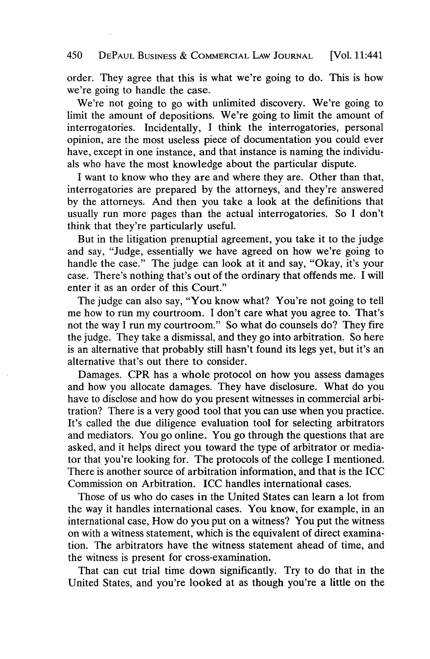### 450 **DEPAUL BUSINESS & COMMERCIAL LAW JOURNAL** [Vol. 11:441

order. They agree that this is what we're going to do. This is how we're going to handle the case.

We're not going to go with unlimited discovery. We're going to limit the amount of depositions. We're going to limit the amount of interrogatories. Incidentally, **I** think the interrogatories, personal opinion, are the most useless piece of documentation you could ever have, except in one instance, and that instance is naming the individuals who have the most knowledge about the particular dispute.

I want to know who they are and where they are. Other than that, interrogatories are prepared **by** the attorneys, and they're answered **by** the attorneys. And then you take a look at the definitions that usually run more pages than the actual interrogatories. So **I** don't think that they're particularly useful.

But in the litigation prenuptial agreement, you take it to the judge and say, "Judge, essentially we have agreed on how we're going to handle the case." The judge can look at it and say, "Okay, it's your case. There's nothing that's out of the ordinary that offends me. **I** will enter it as an order of this Court."

The judge can also say, "You know what? You're not going to tell me how to run my courtroom. I don't care what you agree to. That's not the way **I** run my courtroom." So what do counsels do? They fire the judge. They take a dismissal, and they go into arbitration. So here is an alternative that probably still hasn't found its legs yet, but it's an alternative that's out there to consider.

Damages. CPR has a whole protocol on how you assess damages and how you allocate damages. They have disclosure. What do you have to disclose and how do you present witnesses in commercial arbitration? There is a very good tool that you can use when you practice. It's called the due diligence evaluation tool for selecting arbitrators and mediators. You go online. You go through the questions that are asked, and it helps direct you toward the type of arbitrator or mediator that you're looking for. The protocols of the college **I** mentioned. There is another source of arbitration information, and that is the ICC Commission on Arbitration. **ICC** handles international cases.

Those of us who do cases in the United States can learn a lot from the way it handles international cases. You know, for example, in an international case, How do you put on a witness? You put the witness on with a witness statement, which is the equivalent of direct examination. The arbitrators have the witness statement ahead of time, and the witness is present for cross-examination.

That can cut trial time down significantly. Try to do that in the United States, and you're looked at as though you're a little on the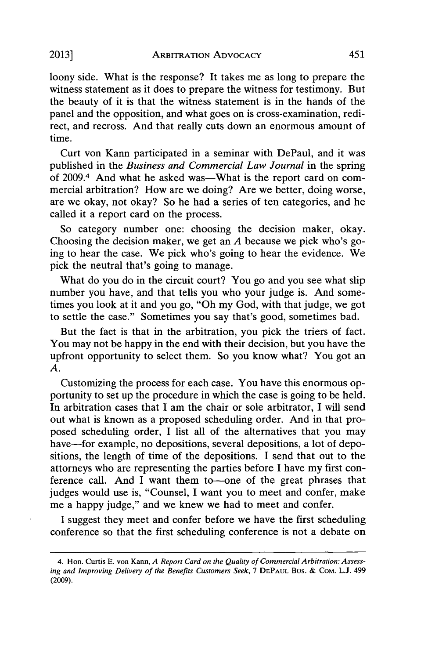loony side. What is the response? It takes me as long to prepare the witness statement as it does to prepare the witness for testimony. But the beauty of it is that the witness statement is in the hands of the panel and the opposition, and what goes on is cross-examination, redirect, and recross. And that really cuts down an enormous amount of time.

Curt von Kann participated in a seminar with DePaul, and it was published in the *Business and Commercial Law Journal* in the spring of 2009.<sup>4</sup> And what he asked was—What is the report card on commercial arbitration? How are we doing? Are we better, doing worse, are we okay, not okay? So he had a series of ten categories, and he called it a report card on the process.

So category number one: choosing the decision maker, okay. Choosing the decision maker, we get an *A* because we pick who's going to hear the case. We pick who's going to hear the evidence. We pick the neutral that's going to manage.

What do you do in the circuit court? You go and you see what slip number you have, and that tells you who your judge is. And sometimes you look at it and you go, "Oh my God, with that judge, we got to settle the case." Sometimes you say that's good, sometimes bad.

But the fact is that in the arbitration, you pick the triers of fact. You may not be happy in the end with their decision, but you have the upfront opportunity to select them. So you know what? You got an *A.*

Customizing the process for each case. You have this enormous opportunity to set up the procedure in which the case is going to be held. In arbitration cases that **I** am the chair or sole arbitrator, **I** will send out what is known as a proposed scheduling order. And in that proposed scheduling order, **I** list all of the alternatives that you may have—for example, no depositions, several depositions, a lot of depositions, the length of time of the depositions. **I** send that out to the attorneys who are representing the parties before I have my first conference call. And I want them to-one of the great phrases that judges would use is, "Counsel, **I** want you to meet and confer, make me a happy judge," and we knew we had to meet and confer.

**I** suggest they meet and confer before we have the first scheduling conference so that the first scheduling conference is not a debate on

*<sup>4.</sup>* **Hon. Curtis E. von Kann,** *A Report Card on the Quality of Commercial Arbitration: Assessing and Improving Delivery of the Benefits Customers Seek,* **7 DEPAUL** Bus. **& COM. L.J. 499 (2009).**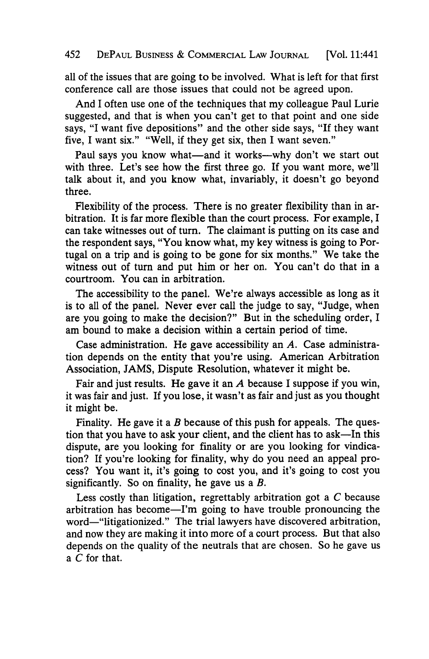all of the issues that are going to be involved. What is left for that first conference call are those issues that could not be agreed upon.

And I often use one of the techniques that my colleague Paul Lurie suggested, and that is when you can't get to that point and one side says, "I want five depositions" and the other side says, "If they want five, I want six." "Well, if they get six, then I want seven."

Paul says you know what—and it works—why don't we start out with three. Let's see how the first three go. **If** you want more, we'll talk about it, and you know what, invariably, it doesn't go beyond three.

Flexibility of the process. There is no greater flexibility than in arbitration. It is far more flexible than the court process. For example, I can take witnesses out of turn. The claimant is putting on its case and the respondent says, "You know what, my key witness is going to Portugal on a trip and is going to be gone for six months." We take the witness out of turn and put him or her on. You can't do that in a courtroom. You can in arbitration.

The accessibility to the panel. We're always accessible as long as it is to all of the panel. Never ever call the judge to say, "Judge, when are you going to make the decision?" But in the scheduling order, I am bound to make a decision within a certain period of time.

Case administration. He gave accessibility an *A.* Case administration depends on the entity that you're using. American Arbitration Association, **JAMS,** Dispute Resolution, whatever it might be.

Fair and just results. He gave it an *A* because I suppose if you win, it was fair and just. If you lose, it wasn't as fair and just as you thought it might be.

Finality. He gave it a *B* because of this push for appeals. The question that you have to ask your client, and the client has to ask-In this dispute, are you looking for finality or are you looking for vindication? **If** you're looking for finality, why do you need an appeal process? You want it, it's going to cost you, and it's going to cost you significantly. So on finality, he gave us a *B.*

Less costly than litigation, regrettably arbitration got a *C* because arbitration has become-I'm going to have trouble pronouncing the word-"litigationized." The trial lawyers have discovered arbitration, and now they are making it into more of a court process. But that also depends on the quality of the neutrals that are chosen. So he gave us a *C* for that.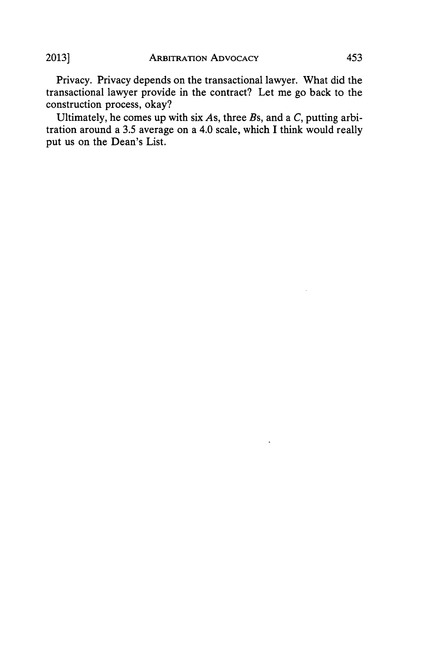Privacy. Privacy depends on the transactional lawyer. What did the transactional lawyer provide in the contract? Let me go back to the construction process, okay?

Ultimately, he comes up with six *As,* three *Bs,* and a *C,* putting arbitration around a *3.5* average on a 4.0 scale, which I think would really put us on the Dean's List.